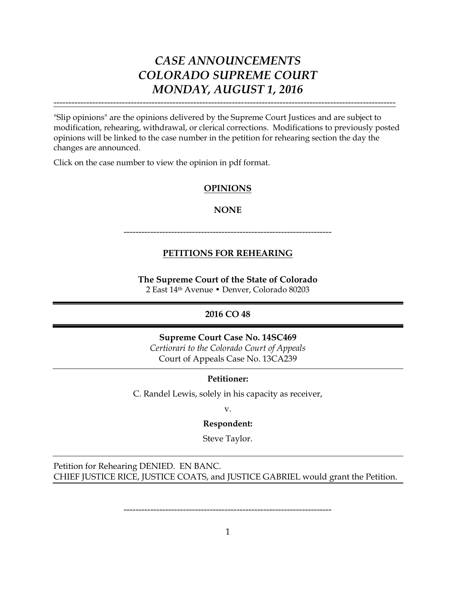"Slip opinions" are the opinions delivered by the Supreme Court Justices and are subject to modification, rehearing, withdrawal, or clerical corrections. Modifications to previously posted opinions will be linked to the case number in the petition for rehearing section the day the changes are announced.

-------------------------------------------------------------------------------------------------------------------

Click on the case number to view the opinion in pdf format.

### **OPINIONS**

#### **NONE**

----------------------------------------------------------------------

### **PETITIONS FOR REHEARING**

**The Supreme Court of the State of Colorado** 2 East 14th Avenue • Denver, Colorado 80203

### **2016 CO 48**

**Supreme Court Case No. 14SC469**

*Certiorari to the Colorado Court of Appeals* Court of Appeals Case No. 13CA239

### **Petitioner:**

C. Randel Lewis, solely in his capacity as receiver,

v.

### **Respondent:**

Steve Taylor.

Petition for Rehearing DENIED. EN BANC. CHIEF JUSTICE RICE, JUSTICE COATS, and JUSTICE GABRIEL would grant the Petition.

----------------------------------------------------------------------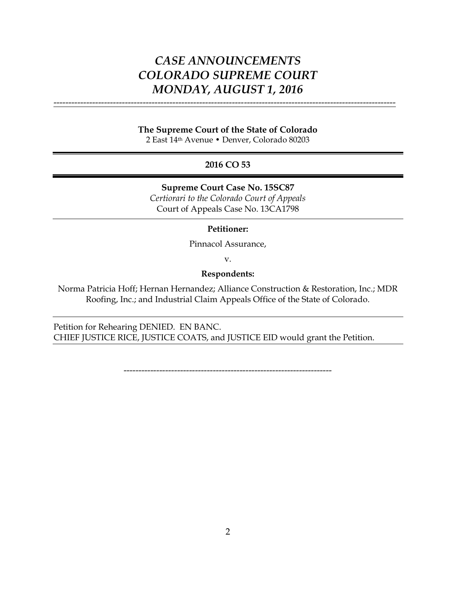#### **The Supreme Court of the State of Colorado**

-------------------------------------------------------------------------------------------------------------------

2 East 14th Avenue • Denver, Colorado 80203

### **2016 CO 53**

**Supreme Court Case No. 15SC87**

*Certiorari to the Colorado Court of Appeals* Court of Appeals Case No. 13CA1798

#### **Petitioner:**

Pinnacol Assurance,

v.

#### **Respondents:**

Norma Patricia Hoff; Hernan Hernandez; Alliance Construction & Restoration, Inc.; MDR Roofing, Inc.; and Industrial Claim Appeals Office of the State of Colorado.

Petition for Rehearing DENIED. EN BANC. CHIEF JUSTICE RICE, JUSTICE COATS, and JUSTICE EID would grant the Petition.

----------------------------------------------------------------------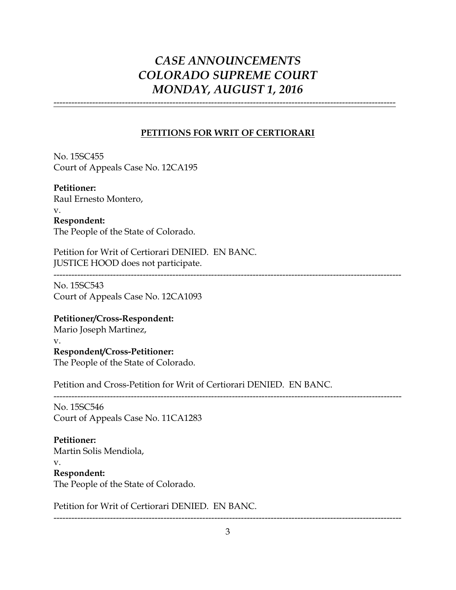-------------------------------------------------------------------------------------------------------------------

### **PETITIONS FOR WRIT OF CERTIORARI**

No. 15SC455 Court of Appeals Case No. 12CA195

**Petitioner:** Raul Ernesto Montero, v. **Respondent:** The People of the State of Colorado.

Petition for Writ of Certiorari DENIED. EN BANC. JUSTICE HOOD does not participate.

---------------------------------------------------------------------------------------------------------------------

No. 15SC543 Court of Appeals Case No. 12CA1093

### **Petitioner/Cross-Respondent:**

Mario Joseph Martinez, v. **Respondent/Cross-Petitioner:**

The People of the State of Colorado.

Petition and Cross-Petition for Writ of Certiorari DENIED. EN BANC.

--------------------------------------------------------------------------------------------------------------------- No. 15SC546

Court of Appeals Case No. 11CA1283

### **Petitioner:**

Martin Solis Mendiola,

v.

### **Respondent:**

The People of the State of Colorado.

Petition for Writ of Certiorari DENIED. EN BANC.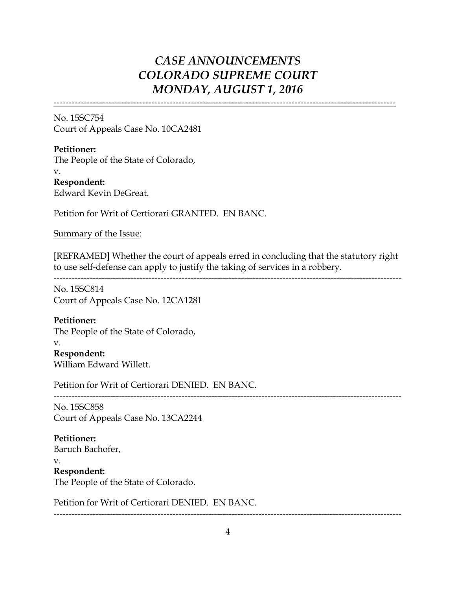-------------------------------------------------------------------------------------------------------------------

No. 15SC754 Court of Appeals Case No. 10CA2481

**Petitioner:** The People of the State of Colorado, v. **Respondent:** Edward Kevin DeGreat.

Petition for Writ of Certiorari GRANTED. EN BANC.

Summary of the Issue:

[REFRAMED] Whether the court of appeals erred in concluding that the statutory right to use self-defense can apply to justify the taking of services in a robbery.

---------------------------------------------------------------------------------------------------------------------

No. 15SC814 Court of Appeals Case No. 12CA1281

### **Petitioner:**

The People of the State of Colorado,

v. **Respondent:** William Edward Willett.

Petition for Writ of Certiorari DENIED. EN BANC.

--------------------------------------------------------------------------------------------------------------------- No. 15SC858 Court of Appeals Case No. 13CA2244

**Petitioner:** Baruch Bachofer, v. **Respondent:** The People of the State of Colorado.

Petition for Writ of Certiorari DENIED. EN BANC.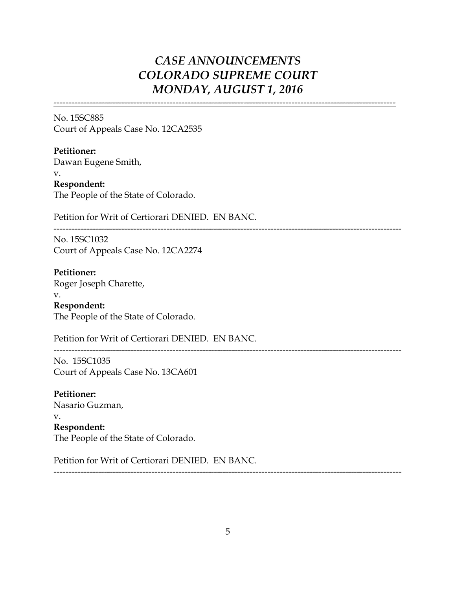-------------------------------------------------------------------------------------------------------------------

No. 15SC885 Court of Appeals Case No. 12CA2535

**Petitioner:** Dawan Eugene Smith, v. **Respondent:** The People of the State of Colorado.

Petition for Writ of Certiorari DENIED. EN BANC.

---------------------------------------------------------------------------------------------------------------------

No. 15SC1032 Court of Appeals Case No. 12CA2274

**Petitioner:** Roger Joseph Charette, v.

**Respondent:** The People of the State of Colorado.

Petition for Writ of Certiorari DENIED. EN BANC.

---------------------------------------------------------------------------------------------------------------------

No. 15SC1035 Court of Appeals Case No. 13CA601

**Petitioner:** Nasario Guzman, v. **Respondent:** The People of the State of Colorado.

Petition for Writ of Certiorari DENIED. EN BANC.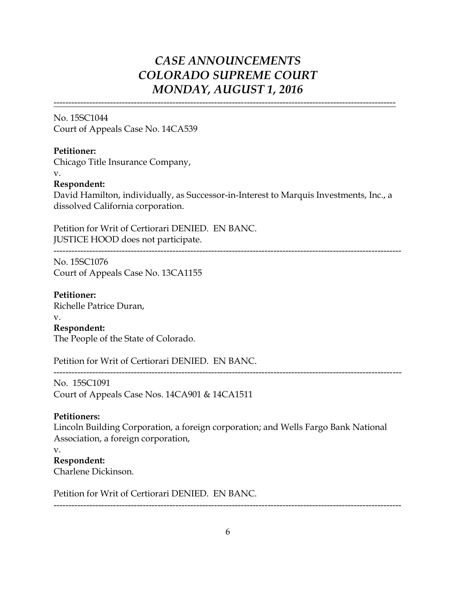-------------------------------------------------------------------------------------------------------------------

No. 15SC1044 Court of Appeals Case No. 14CA539

### **Petitioner:**

Chicago Title Insurance Company,

#### v.

### **Respondent:**

David Hamilton, individually, as Successor-in-Interest to Marquis Investments, Inc., a dissolved California corporation.

---------------------------------------------------------------------------------------------------------------------

Petition for Writ of Certiorari DENIED. EN BANC. JUSTICE HOOD does not participate.

No. 15SC1076 Court of Appeals Case No. 13CA1155

**Petitioner:** Richelle Patrice Duran, v. **Respondent:** The People of the State of Colorado.

Petition for Writ of Certiorari DENIED. EN BANC.

---------------------------------------------------------------------------------------------------------------------

No. 15SC1091 Court of Appeals Case Nos. 14CA901 & 14CA1511

### **Petitioners:**

Lincoln Building Corporation, a foreign corporation; and Wells Fargo Bank National Association, a foreign corporation,

#### v.

**Respondent:**

Charlene Dickinson.

Petition for Writ of Certiorari DENIED. EN BANC.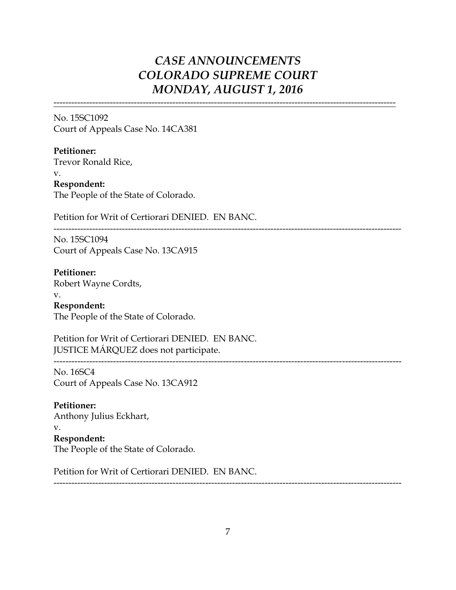-------------------------------------------------------------------------------------------------------------------

No. 15SC1092 Court of Appeals Case No. 14CA381

**Petitioner:** Trevor Ronald Rice, v. **Respondent:** The People of the State of Colorado.

Petition for Writ of Certiorari DENIED. EN BANC.

---------------------------------------------------------------------------------------------------------------------

---------------------------------------------------------------------------------------------------------------------

No. 15SC1094 Court of Appeals Case No. 13CA915

**Petitioner:** Robert Wayne Cordts,

v. **Respondent:** The People of the State of Colorado.

Petition for Writ of Certiorari DENIED. EN BANC. JUSTICE MÁRQUEZ does not participate.

No. 16SC4

Court of Appeals Case No. 13CA912

**Petitioner:** Anthony Julius Eckhart, v.

**Respondent:** The People of the State of Colorado.

Petition for Writ of Certiorari DENIED. EN BANC.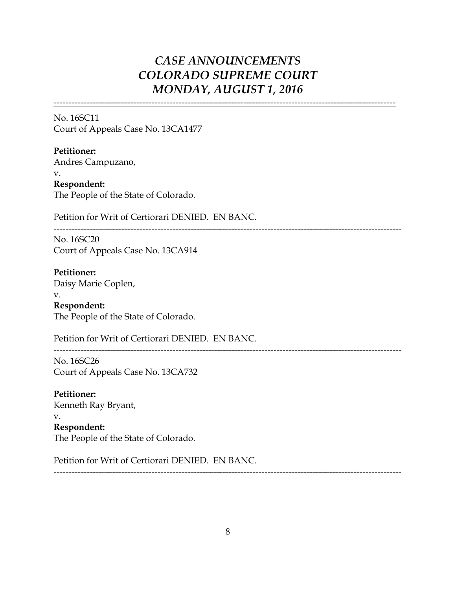-------------------------------------------------------------------------------------------------------------------

No. 16SC11 Court of Appeals Case No. 13CA1477

**Petitioner:** Andres Campuzano, v. **Respondent:** The People of the State of Colorado.

Petition for Writ of Certiorari DENIED. EN BANC.

--------------------------------------------------------------------------------------------------------------------- No. 16SC20

Court of Appeals Case No. 13CA914

**Petitioner:** Daisy Marie Coplen, v. **Respondent:**

The People of the State of Colorado.

Petition for Writ of Certiorari DENIED. EN BANC.

---------------------------------------------------------------------------------------------------------------------

No. 16SC26 Court of Appeals Case No. 13CA732

**Petitioner:** Kenneth Ray Bryant, v. **Respondent:** The People of the State of Colorado.

Petition for Writ of Certiorari DENIED. EN BANC.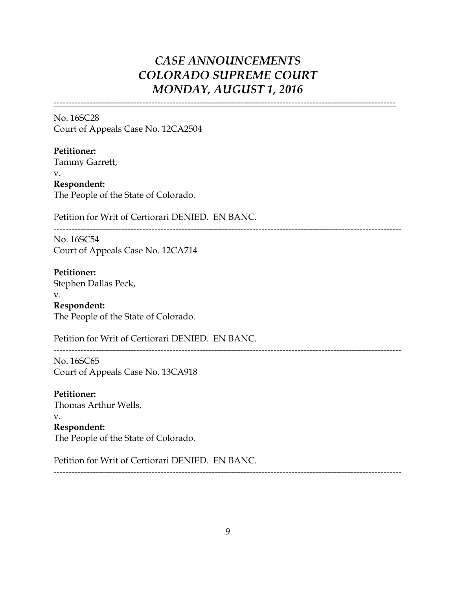-------------------------------------------------------------------------------------------------------------------

No. 16SC28 Court of Appeals Case No. 12CA2504

**Petitioner:** Tammy Garrett, v. **Respondent:** The People of the State of Colorado.

Petition for Writ of Certiorari DENIED. EN BANC.

--------------------------------------------------------------------------------------------------------------------- No. 16SC54

Court of Appeals Case No. 12CA714

**Petitioner:** Stephen Dallas Peck, v.

**Respondent:** The People of the State of Colorado.

Petition for Writ of Certiorari DENIED. EN BANC.

---------------------------------------------------------------------------------------------------------------------

No. 16SC65 Court of Appeals Case No. 13CA918

**Petitioner:** Thomas Arthur Wells, v. **Respondent:** The People of the State of Colorado.

Petition for Writ of Certiorari DENIED. EN BANC.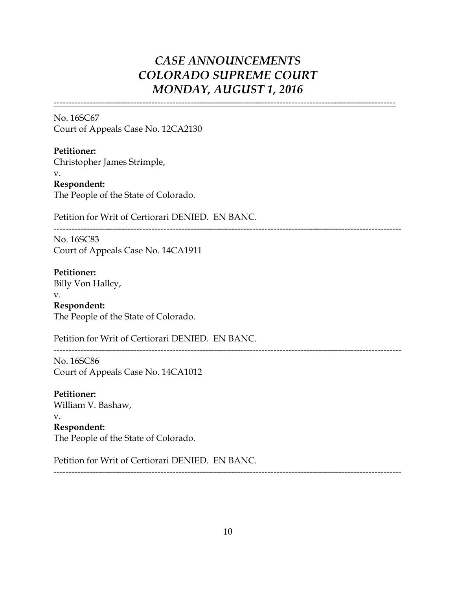-------------------------------------------------------------------------------------------------------------------

No. 16SC67 Court of Appeals Case No. 12CA2130

**Petitioner:** Christopher James Strimple, v. **Respondent:** The People of the State of Colorado.

Petition for Writ of Certiorari DENIED. EN BANC.

---------------------------------------------------------------------------------------------------------------------

No. 16SC83 Court of Appeals Case No. 14CA1911

**Petitioner:** Billy Von Hallcy,

v. **Respondent:** The People of the State of Colorado.

Petition for Writ of Certiorari DENIED. EN BANC.

---------------------------------------------------------------------------------------------------------------------

No. 16SC86 Court of Appeals Case No. 14CA1012

**Petitioner:** William V. Bashaw, v. **Respondent:** The People of the State of Colorado.

Petition for Writ of Certiorari DENIED. EN BANC.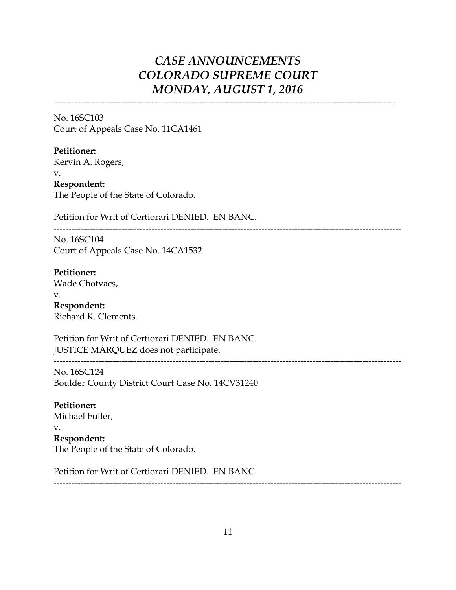-------------------------------------------------------------------------------------------------------------------

No. 16SC103 Court of Appeals Case No. 11CA1461

**Petitioner:** Kervin A. Rogers, v. **Respondent:** The People of the State of Colorado.

Petition for Writ of Certiorari DENIED. EN BANC.

---------------------------------------------------------------------------------------------------------------------

---------------------------------------------------------------------------------------------------------------------

No. 16SC104 Court of Appeals Case No. 14CA1532

**Petitioner:** Wade Chotvacs,

v. **Respondent:** Richard K. Clements.

Petition for Writ of Certiorari DENIED. EN BANC. JUSTICE MÁRQUEZ does not participate.

No. 16SC124 Boulder County District Court Case No. 14CV31240

**Petitioner:** Michael Fuller,

v.

**Respondent:** The People of the State of Colorado.

Petition for Writ of Certiorari DENIED. EN BANC.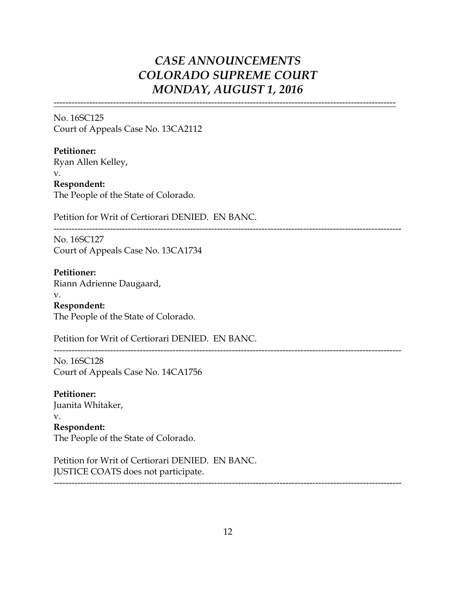-------------------------------------------------------------------------------------------------------------------

No. 16SC125 Court of Appeals Case No. 13CA2112

**Petitioner:** Ryan Allen Kelley, v. **Respondent:** The People of the State of Colorado.

Petition for Writ of Certiorari DENIED. EN BANC.

---------------------------------------------------------------------------------------------------------------------

No. 16SC127 Court of Appeals Case No. 13CA1734

**Petitioner:** Riann Adrienne Daugaard,

v. **Respondent:** The People of the State of Colorado.

Petition for Writ of Certiorari DENIED. EN BANC.

---------------------------------------------------------------------------------------------------------------------

No. 16SC128 Court of Appeals Case No. 14CA1756

**Petitioner:** Juanita Whitaker, v. **Respondent:** The People of the State of Colorado.

Petition for Writ of Certiorari DENIED. EN BANC. JUSTICE COATS does not participate.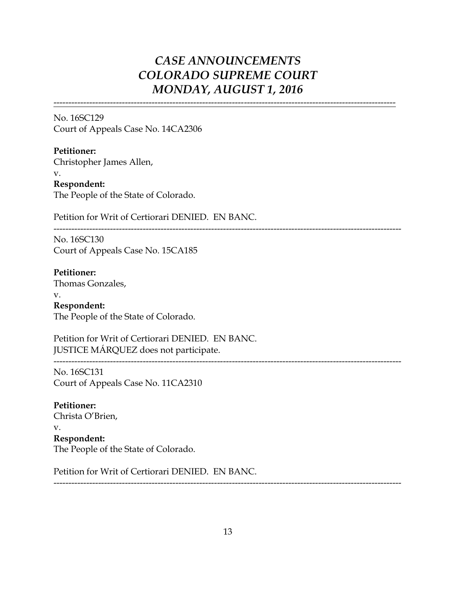-------------------------------------------------------------------------------------------------------------------

No. 16SC129 Court of Appeals Case No. 14CA2306

**Petitioner:** Christopher James Allen, v. **Respondent:** The People of the State of Colorado.

Petition for Writ of Certiorari DENIED. EN BANC.

---------------------------------------------------------------------------------------------------------------------

No. 16SC130 Court of Appeals Case No. 15CA185

**Petitioner:** Thomas Gonzales, v. **Respondent:**

The People of the State of Colorado.

Petition for Writ of Certiorari DENIED. EN BANC. JUSTICE MÁRQUEZ does not participate. ---------------------------------------------------------------------------------------------------------------------

No. 16SC131 Court of Appeals Case No. 11CA2310

**Petitioner:** Christa O'Brien, v. **Respondent:** The People of the State of Colorado.

Petition for Writ of Certiorari DENIED. EN BANC.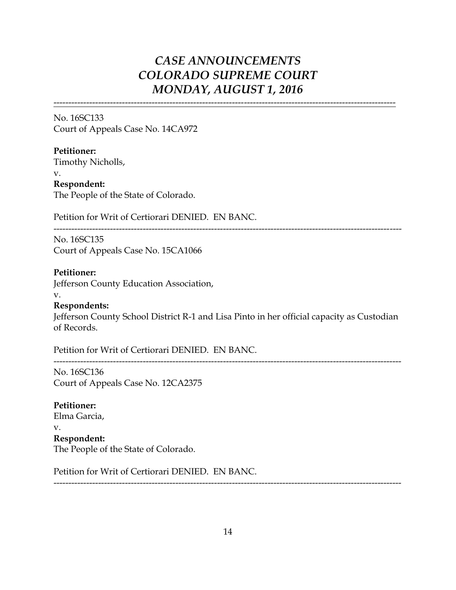-------------------------------------------------------------------------------------------------------------------

No. 16SC133 Court of Appeals Case No. 14CA972

**Petitioner:** Timothy Nicholls, v. **Respondent:** The People of the State of Colorado.

Petition for Writ of Certiorari DENIED. EN BANC.

---------------------------------------------------------------------------------------------------------------------

No. 16SC135 Court of Appeals Case No. 15CA1066

### **Petitioner:**

Jefferson County Education Association,

#### v.

**Respondents:**

Jefferson County School District R-1 and Lisa Pinto in her official capacity as Custodian of Records.

---------------------------------------------------------------------------------------------------------------------

Petition for Writ of Certiorari DENIED. EN BANC.

No. 16SC136 Court of Appeals Case No. 12CA2375

**Petitioner:** Elma Garcia,

v.

### **Respondent:**

The People of the State of Colorado.

Petition for Writ of Certiorari DENIED. EN BANC.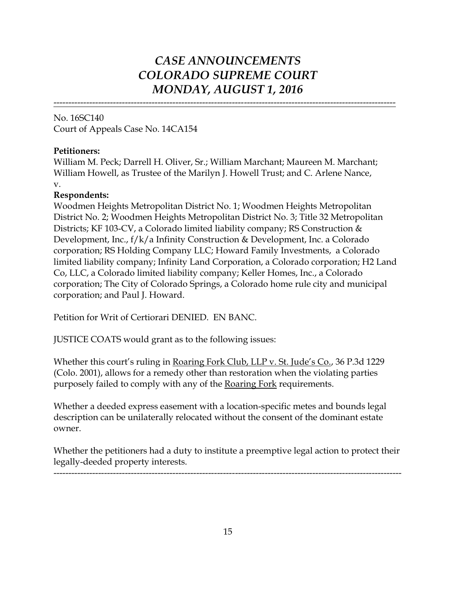-------------------------------------------------------------------------------------------------------------------

No. 16SC140 Court of Appeals Case No. 14CA154

### **Petitioners:**

William M. Peck; Darrell H. Oliver, Sr.; William Marchant; Maureen M. Marchant; William Howell, as Trustee of the Marilyn J. Howell Trust; and C. Arlene Nance, v.

### **Respondents:**

Woodmen Heights Metropolitan District No. 1; Woodmen Heights Metropolitan District No. 2; Woodmen Heights Metropolitan District No. 3; Title 32 Metropolitan Districts; KF 103-CV, a Colorado limited liability company; RS Construction & Development, Inc., f/k/a Infinity Construction & Development, Inc. a Colorado corporation; RS Holding Company LLC; Howard Family Investments, a Colorado limited liability company; Infinity Land Corporation, a Colorado corporation; H2 Land Co, LLC, a Colorado limited liability company; Keller Homes, Inc., a Colorado corporation; The City of Colorado Springs, a Colorado home rule city and municipal corporation; and Paul J. Howard.

Petition for Writ of Certiorari DENIED. EN BANC.

JUSTICE COATS would grant as to the following issues:

Whether this court's ruling in Roaring Fork Club, LLP v. St. Jude's Co., 36 P.3d 1229 (Colo. 2001), allows for a remedy other than restoration when the violating parties purposely failed to comply with any of the Roaring Fork requirements.

Whether a deeded express easement with a location-specific metes and bounds legal description can be unilaterally relocated without the consent of the dominant estate owner.

Whether the petitioners had a duty to institute a preemptive legal action to protect their legally-deeded property interests.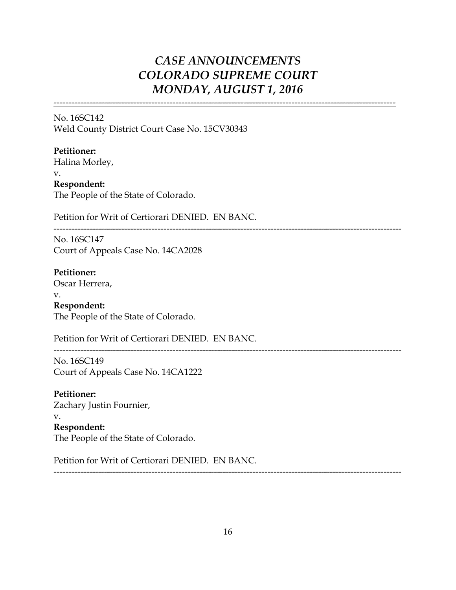-------------------------------------------------------------------------------------------------------------------

No. 16SC142 Weld County District Court Case No. 15CV30343

**Petitioner:**

Halina Morley,

v.

**Respondent:** The People of the State of Colorado.

Petition for Writ of Certiorari DENIED. EN BANC.

---------------------------------------------------------------------------------------------------------------------

No. 16SC147 Court of Appeals Case No. 14CA2028

**Petitioner:**

Oscar Herrera,

v. **Respondent:**

The People of the State of Colorado.

Petition for Writ of Certiorari DENIED. EN BANC.

---------------------------------------------------------------------------------------------------------------------

No. 16SC149 Court of Appeals Case No. 14CA1222

**Petitioner:** Zachary Justin Fournier, v. **Respondent:** The People of the State of Colorado.

Petition for Writ of Certiorari DENIED. EN BANC.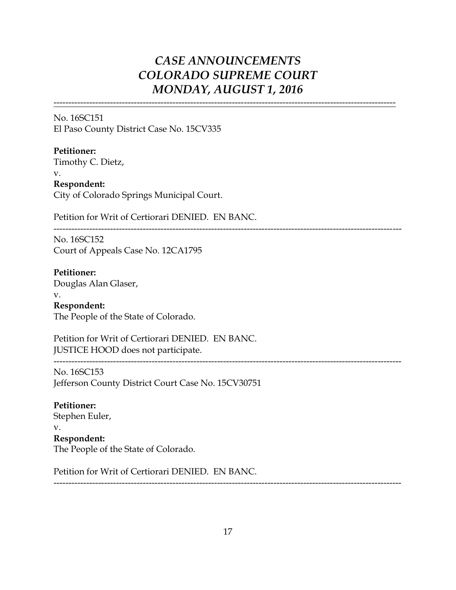-------------------------------------------------------------------------------------------------------------------

No. 16SC151 El Paso County District Case No. 15CV335

**Petitioner:**

Timothy C. Dietz, v. **Respondent:** City of Colorado Springs Municipal Court.

Petition for Writ of Certiorari DENIED. EN BANC.

---------------------------------------------------------------------------------------------------------------------

---------------------------------------------------------------------------------------------------------------------

No. 16SC152 Court of Appeals Case No. 12CA1795

**Petitioner:** Douglas Alan Glaser, v. **Respondent:**

The People of the State of Colorado.

Petition for Writ of Certiorari DENIED. EN BANC. JUSTICE HOOD does not participate.

No. 16SC153 Jefferson County District Court Case No. 15CV30751

**Petitioner:** Stephen Euler,

v. **Respondent:** The People of the State of Colorado.

Petition for Writ of Certiorari DENIED. EN BANC.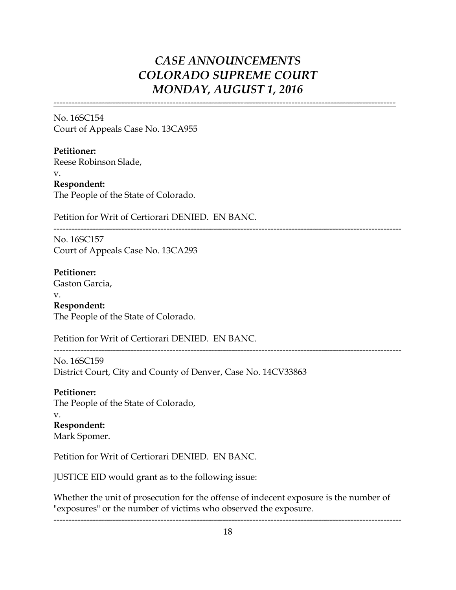-------------------------------------------------------------------------------------------------------------------

No. 16SC154 Court of Appeals Case No. 13CA955

**Petitioner:** Reese Robinson Slade, v. **Respondent:** The People of the State of Colorado.

Petition for Writ of Certiorari DENIED. EN BANC.

---------------------------------------------------------------------------------------------------------------------

No. 16SC157 Court of Appeals Case No. 13CA293

**Petitioner:** Gaston Garcia,

v. **Respondent:** The People of the State of Colorado.

Petition for Writ of Certiorari DENIED. EN BANC.

---------------------------------------------------------------------------------------------------------------------

No. 16SC159 District Court, City and County of Denver, Case No. 14CV33863

**Petitioner:** The People of the State of Colorado, v. **Respondent:** Mark Spomer.

Petition for Writ of Certiorari DENIED. EN BANC.

JUSTICE EID would grant as to the following issue:

Whether the unit of prosecution for the offense of indecent exposure is the number of "exposures" or the number of victims who observed the exposure.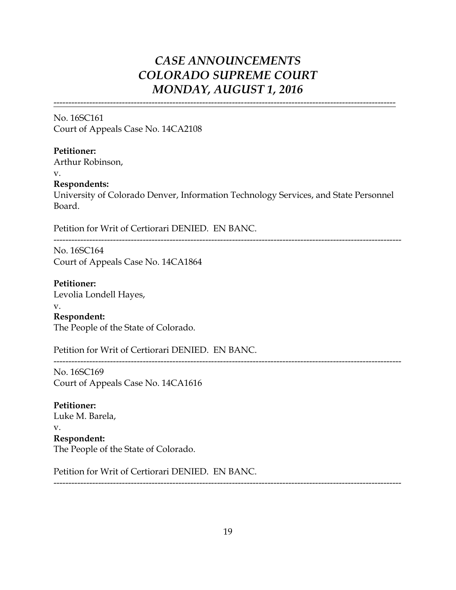-------------------------------------------------------------------------------------------------------------------

No. 16SC161 Court of Appeals Case No. 14CA2108

### **Petitioner:**

Arthur Robinson, v.

**Respondents:**

University of Colorado Denver, Information Technology Services, and State Personnel Board.

Petition for Writ of Certiorari DENIED. EN BANC.

---------------------------------------------------------------------------------------------------------------------

---------------------------------------------------------------------------------------------------------------------

No. 16SC164 Court of Appeals Case No. 14CA1864

**Petitioner:** Levolia Londell Hayes, v. **Respondent:**

The People of the State of Colorado.

Petition for Writ of Certiorari DENIED. EN BANC.

No. 16SC169 Court of Appeals Case No. 14CA1616

**Petitioner:** Luke M. Barela, v. **Respondent:** The People of the State of Colorado.

Petition for Writ of Certiorari DENIED. EN BANC.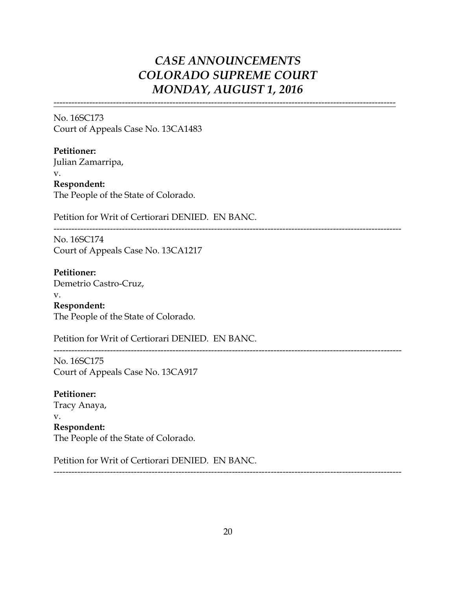-------------------------------------------------------------------------------------------------------------------

No. 16SC173 Court of Appeals Case No. 13CA1483

**Petitioner:** Julian Zamarripa, v. **Respondent:** The People of the State of Colorado.

Petition for Writ of Certiorari DENIED. EN BANC.

---------------------------------------------------------------------------------------------------------------------

No. 16SC174 Court of Appeals Case No. 13CA1217

**Petitioner:** Demetrio Castro-Cruz, v. **Respondent:** The People of the State of Colorado.

Petition for Writ of Certiorari DENIED. EN BANC.

---------------------------------------------------------------------------------------------------------------------

No. 16SC175 Court of Appeals Case No. 13CA917

**Petitioner:** Tracy Anaya, v. **Respondent:** The People of the State of Colorado.

Petition for Writ of Certiorari DENIED. EN BANC.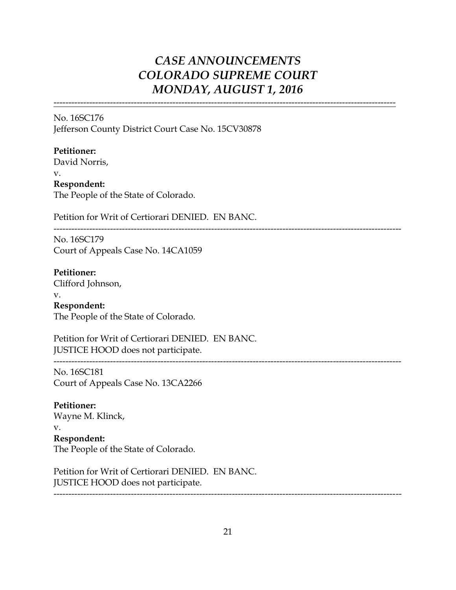-------------------------------------------------------------------------------------------------------------------

No. 16SC176 Jefferson County District Court Case No. 15CV30878

### **Petitioner:**

David Norris,

v. **Respondent:** The People of the State of Colorado.

Petition for Writ of Certiorari DENIED. EN BANC.

---------------------------------------------------------------------------------------------------------------------

---------------------------------------------------------------------------------------------------------------------

No. 16SC179 Court of Appeals Case No. 14CA1059

**Petitioner:** Clifford Johnson,

v. **Respondent:** The People of the State of Colorado.

Petition for Writ of Certiorari DENIED. EN BANC. JUSTICE HOOD does not participate.

No. 16SC181 Court of Appeals Case No. 13CA2266

**Petitioner:** Wayne M. Klinck, v. **Respondent:** The People of the State of Colorado.

Petition for Writ of Certiorari DENIED. EN BANC. JUSTICE HOOD does not participate.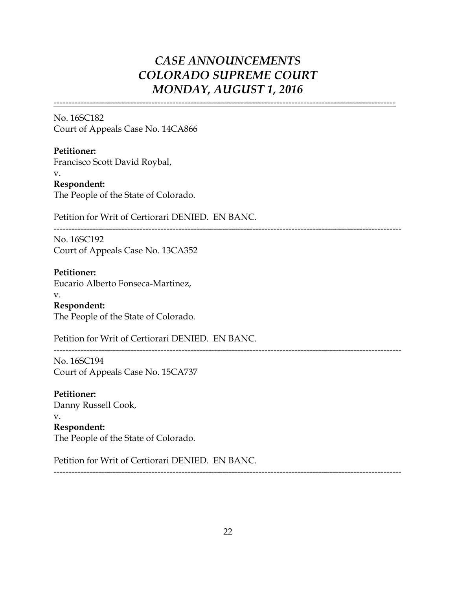-------------------------------------------------------------------------------------------------------------------

No. 16SC182 Court of Appeals Case No. 14CA866

**Petitioner:** Francisco Scott David Roybal, v. **Respondent:** The People of the State of Colorado.

Petition for Writ of Certiorari DENIED. EN BANC.

---------------------------------------------------------------------------------------------------------------------

No. 16SC192 Court of Appeals Case No. 13CA352

**Petitioner:** Eucario Alberto Fonseca-Martinez,

v. **Respondent:** The People of the State of Colorado.

Petition for Writ of Certiorari DENIED. EN BANC.

---------------------------------------------------------------------------------------------------------------------

No. 16SC194 Court of Appeals Case No. 15CA737

**Petitioner:** Danny Russell Cook, v. **Respondent:** The People of the State of Colorado.

Petition for Writ of Certiorari DENIED. EN BANC.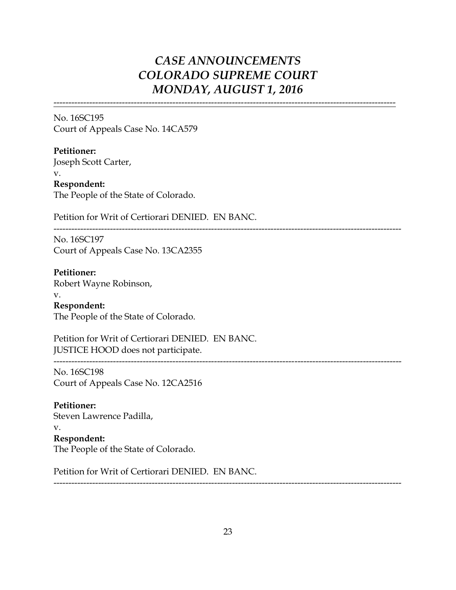-------------------------------------------------------------------------------------------------------------------

No. 16SC195 Court of Appeals Case No. 14CA579

**Petitioner:** Joseph Scott Carter, v. **Respondent:** The People of the State of Colorado.

Petition for Writ of Certiorari DENIED. EN BANC.

---------------------------------------------------------------------------------------------------------------------

---------------------------------------------------------------------------------------------------------------------

No. 16SC197 Court of Appeals Case No. 13CA2355

**Petitioner:** Robert Wayne Robinson,

v. **Respondent:** The People of the State of Colorado.

Petition for Writ of Certiorari DENIED. EN BANC. JUSTICE HOOD does not participate.

### No. 16SC198

Court of Appeals Case No. 12CA2516

### **Petitioner:**

Steven Lawrence Padilla,

#### v. **Respondent:**

The People of the State of Colorado.

Petition for Writ of Certiorari DENIED. EN BANC.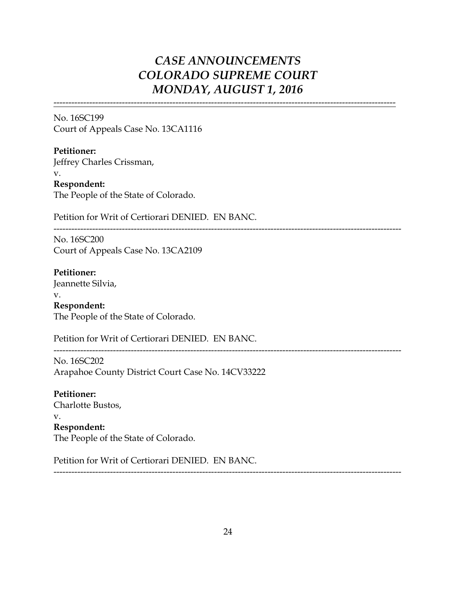-------------------------------------------------------------------------------------------------------------------

No. 16SC199 Court of Appeals Case No. 13CA1116

**Petitioner:** Jeffrey Charles Crissman, v. **Respondent:** The People of the State of Colorado.

Petition for Writ of Certiorari DENIED. EN BANC.

---------------------------------------------------------------------------------------------------------------------

No. 16SC200 Court of Appeals Case No. 13CA2109

**Petitioner:** Jeannette Silvia, v.

**Respondent:** The People of the State of Colorado.

Petition for Writ of Certiorari DENIED. EN BANC.

---------------------------------------------------------------------------------------------------------------------

No. 16SC202 Arapahoe County District Court Case No. 14CV33222

**Petitioner:** Charlotte Bustos, v. **Respondent:** The People of the State of Colorado.

Petition for Writ of Certiorari DENIED. EN BANC.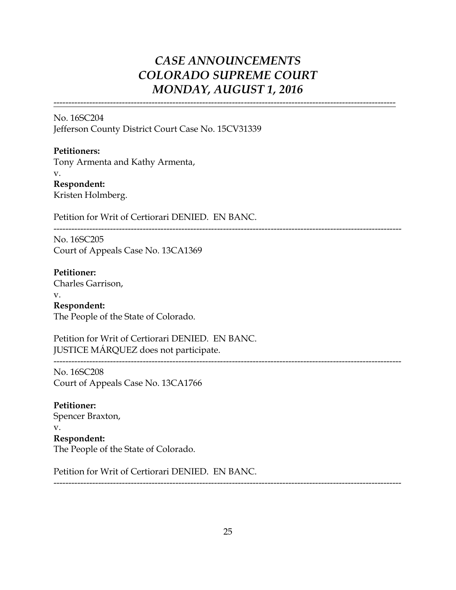-------------------------------------------------------------------------------------------------------------------

No. 16SC204 Jefferson County District Court Case No. 15CV31339

**Petitioners:** Tony Armenta and Kathy Armenta, v. **Respondent:** Kristen Holmberg.

Petition for Writ of Certiorari DENIED. EN BANC.

---------------------------------------------------------------------------------------------------------------------

---------------------------------------------------------------------------------------------------------------------

No. 16SC205 Court of Appeals Case No. 13CA1369

**Petitioner:** Charles Garrison, v.

**Respondent:** The People of the State of Colorado.

Petition for Writ of Certiorari DENIED. EN BANC. JUSTICE MÁRQUEZ does not participate.

No. 16SC208 Court of Appeals Case No. 13CA1766

**Petitioner:** Spencer Braxton, v. **Respondent:** The People of the State of Colorado.

Petition for Writ of Certiorari DENIED. EN BANC.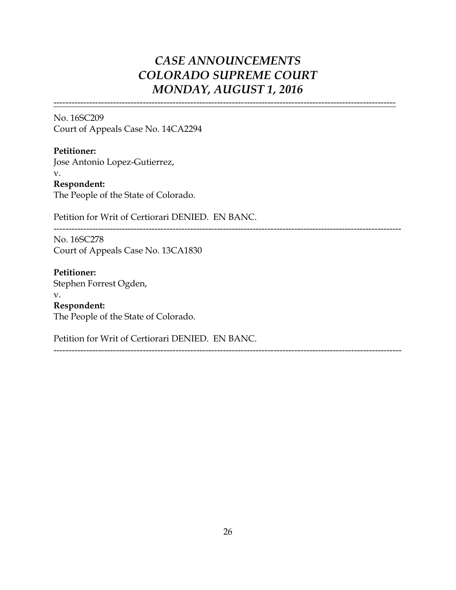-------------------------------------------------------------------------------------------------------------------

No. 16SC209 Court of Appeals Case No. 14CA2294

**Petitioner:** Jose Antonio Lopez-Gutierrez, v. **Respondent:** The People of the State of Colorado.

Petition for Writ of Certiorari DENIED. EN BANC.

---------------------------------------------------------------------------------------------------------------------

No. 16SC278 Court of Appeals Case No. 13CA1830

**Petitioner:** Stephen Forrest Ogden, v. **Respondent:** The People of the State of Colorado.

Petition for Writ of Certiorari DENIED. EN BANC.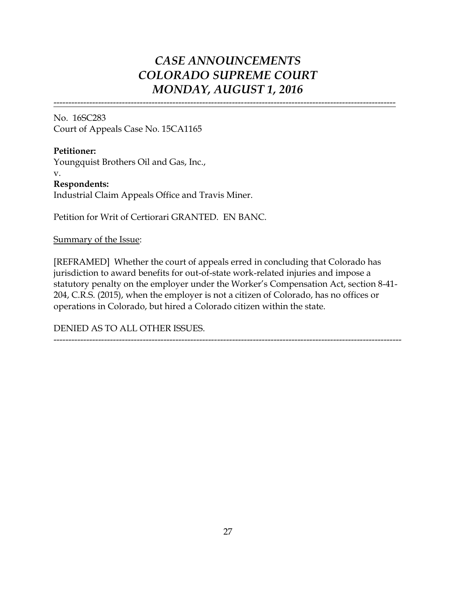-------------------------------------------------------------------------------------------------------------------

No. 16SC283 Court of Appeals Case No. 15CA1165

**Petitioner:** Youngquist Brothers Oil and Gas, Inc., v. **Respondents:** Industrial Claim Appeals Office and Travis Miner.

Petition for Writ of Certiorari GRANTED. EN BANC.

Summary of the Issue:

[REFRAMED] Whether the court of appeals erred in concluding that Colorado has jurisdiction to award benefits for out-of-state work-related injuries and impose a statutory penalty on the employer under the Worker's Compensation Act, section 8-41- 204, C.R.S. (2015), when the employer is not a citizen of Colorado, has no offices or operations in Colorado, but hired a Colorado citizen within the state.

---------------------------------------------------------------------------------------------------------------------

DENIED AS TO ALL OTHER ISSUES.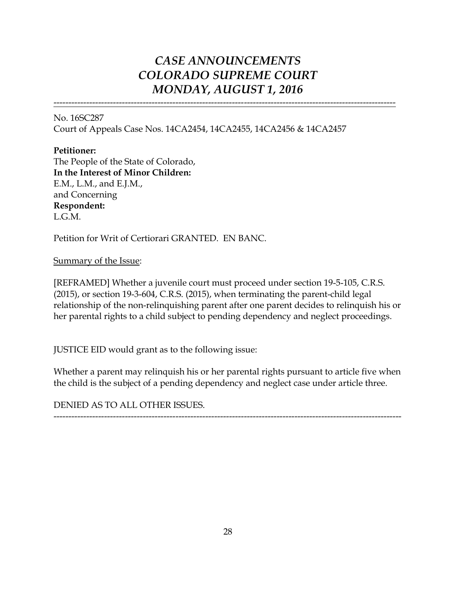-------------------------------------------------------------------------------------------------------------------

No. 16SC287 Court of Appeals Case Nos. 14CA2454, 14CA2455, 14CA2456 & 14CA2457

### **Petitioner:**

The People of the State of Colorado, **In the Interest of Minor Children:** E.M., L.M., and E.J.M., and Concerning **Respondent:** L.G.M.

Petition for Writ of Certiorari GRANTED. EN BANC.

Summary of the Issue:

[REFRAMED] Whether a juvenile court must proceed under section 19-5-105, C.R.S. (2015), or section 19-3-604, C.R.S. (2015), when terminating the parent-child legal relationship of the non-relinquishing parent after one parent decides to relinquish his or her parental rights to a child subject to pending dependency and neglect proceedings.

JUSTICE EID would grant as to the following issue:

Whether a parent may relinquish his or her parental rights pursuant to article five when the child is the subject of a pending dependency and neglect case under article three.

---------------------------------------------------------------------------------------------------------------------

DENIED AS TO ALL OTHER ISSUES.